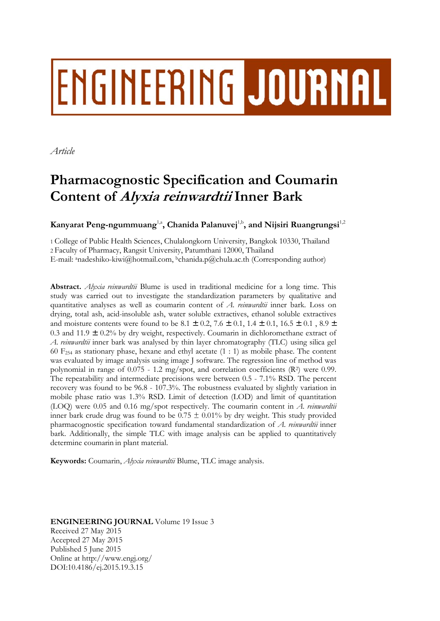# ENGINEERING JOURNAL

*Article* 

# **Pharmacognostic Specification and Coumarin Content of Alyxia reinwardtii Inner Bark**

**Kanyarat Peng-ngummuang**<sup>1,a</sup>, Chanida Palanuvej<sup>1,b</sup>, and Nijsiri Ruangrungsi<sup>1,2</sup>

1 College of Public Health Sciences, Chulalongkorn University, Bangkok 10330, Thailand 2 Faculty of Pharmacy, Rangsit University, Patumthani 12000, Thailand E-mail: anadeshiko-kiwi@hotmail.com, bchanida.p@chula.ac.th (Corresponding author)

**Abstract.** *Alyxia reinwardtii* Blume is used in traditional medicine for a long time. This study was carried out to investigate the standardization parameters by qualitative and quantitative analyses as well as coumarin content of *A. reinwardtii* inner bark*.* Loss on drying, total ash, acid-insoluble ash, water soluble extractives, ethanol soluble extractives and moisture contents were found to be 8.1  $\pm$  0.2, 7.6  $\pm$  0.1, 1.4  $\pm$  0.1, 16.5  $\pm$  0.1, 8.9  $\pm$ 0.3 and 11.9  $\pm$  0.2% by dry weight, respectively. Coumarin in dichloromethane extract of *A. reinwardtii* inner bark was analysed by thin layer chromatography (TLC) using silica gel 60 F<sub>254</sub> as stationary phase, hexane and ethyl acetate  $(1:1)$  as mobile phase. The content was evaluated by image analysis using image J software. The regression line of method was polynomial in range of  $0.075 - 1.2$  mg/spot, and correlation coefficients (R<sup>2</sup>) were 0.99. The repeatability and intermediate precisions were between 0.5 - 7.1% RSD. The percent recovery was found to be 96.8 - 107.3%. The robustness evaluated by slightly variation in mobile phase ratio was 1.3% RSD. Limit of detection (LOD) and limit of quantitation (LOQ) were 0.05 and 0.16 mg/spot respectively. The coumarin content in *A. reinwardtii*  inner bark crude drug was found to be  $0.75 \pm 0.01\%$  by dry weight. This study provided pharmacognostic specification toward fundamental standardization of *A. reinwardtii* inner bark. Additionally, the simple TLC with image analysis can be applied to quantitatively determine coumarin in plant material.

**Keywords:** Coumarin, *Alyxia reinwardtii* Blume, TLC image analysis.

**ENGINEERING JOURNAL** Volume 19 Issue 3 Received 27 May 2015 Accepted 27 May 2015 Published 5 June 2015 Online at http://www.engj.org/ DOI:10.4186/ej.2015.19.3.15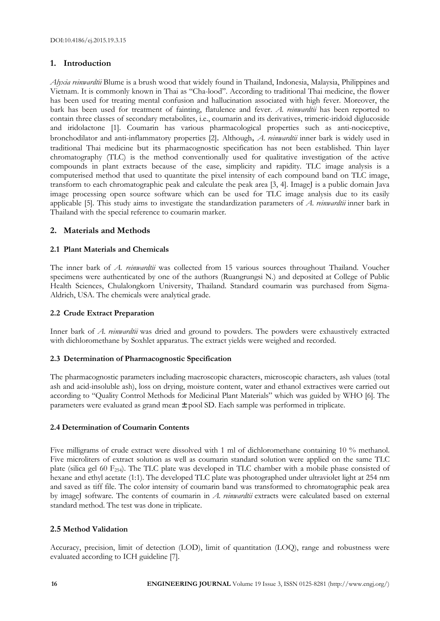#### **1. Introduction**

*Alyxia reinwardtii* Blume is a brush wood that widely found in Thailand, Indonesia, Malaysia, Philippines and Vietnam. It is commonly known in Thai as "Cha-lood". According to traditional Thai medicine, the flower has been used for treating mental confusion and hallucination associated with high fever. Moreover, the bark has been used for treatment of fainting, flatulence and fever. *A. reinwardtii* has been reported to contain three classes of secondary metabolites, i.e., coumarin and its derivatives, trimeric-iridoid diglucoside and iridolactone [1]. Coumarin has various pharmacological properties such as anti-nociceptive, bronchodilator and anti-inflammatory properties [2]. Although, *A. reinwardtii* inner bark is widely used in traditional Thai medicine but its pharmacognostic specification has not been established. Thin layer chromatography (TLC) is the method conventionally used for qualitative investigation of the active compounds in plant extracts because of the ease, simplicity and rapidity. TLC image analysis is a computerised method that used to quantitate the pixel intensity of each compound band on TLC image, transform to each chromatographic peak and calculate the peak area [3, 4]. ImageJ is a public domain Java image processing open source software which can be used for TLC image analysis due to its easily applicable [5]. This study aims to investigate the standardization parameters of *A. reinwardtii* inner bark in Thailand with the special reference to coumarin marker*.*

#### **2. Materials and Methods**

#### **2.1 Plant Materials and Chemicals**

The inner bark of *A. reinwardtii* was collected from 15 various sources throughout Thailand. Voucher specimens were authenticated by one of the authors (Ruangrungsi N.) and deposited at College of Public Health Sciences, Chulalongkorn University, Thailand. Standard coumarin was purchased from Sigma-Aldrich, USA. The chemicals were analytical grade.

#### **2.2 Crude Extract Preparation**

Inner bark of *A. reinwardtii* was dried and ground to powders. The powders were exhaustively extracted with dichloromethane by Soxhlet apparatus. The extract yields were weighed and recorded.

#### **2.3 Determination of Pharmacognostic Specification**

The pharmacognostic parameters including macroscopic characters, microscopic characters, ash values (total ash and acid-insoluble ash), loss on drying, moisture content, water and ethanol extractives were carried out according to "Quality Control Methods for Medicinal Plant Materials" which was guided by WHO [6]. The parameters were evaluated as grand mean ± pool SD. Each sample was performed in triplicate.

#### **2.4 Determination of Coumarin Contents**

Five milligrams of crude extract were dissolved with 1 ml of dichloromethane containing 10 % methanol. Five microliters of extract solution as well as coumarin standard solution were applied on the same TLC plate (silica gel 60 F<sub>254</sub>). The TLC plate was developed in TLC chamber with a mobile phase consisted of hexane and ethyl acetate (1:1). The developed TLC plate was photographed under ultraviolet light at 254 nm and saved as tiff file. The color intensity of coumarin band was transformed to chromatographic peak area by imageJ software. The contents of coumarin in *A. reinwardtii* extracts were calculated based on external standard method. The test was done in triplicate.

#### **2.5 Method Validation**

Accuracy, precision, limit of detection (LOD), limit of quantitation (LOQ), range and robustness were evaluated according to ICH guideline [7].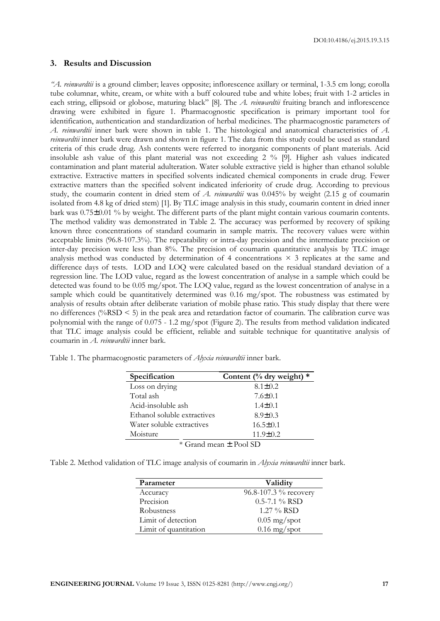DOI:10.4186/ej.2015.19.3.15

#### **3. Results and Discussion**

*"A. reinwardtii* is a ground climber; leaves opposite; inflorescence axillary or terminal, 1-3.5 cm long; corolla tube columnar, white, cream, or white with a buff coloured tube and white lobes; fruit with 1-2 articles in each string, ellipsoid or globose, maturing black" [8]. The *A. reinwardtii* fruiting branch and inflorescence drawing were exhibited in figure 1. Pharmacognostic specification is primary important tool for identification, authentication and standardization of herbal medicines. The pharmacognostic parameters of *A. reinwardtii* inner bark were shown in table 1. The histological and anatomical characteristics of *A. reinwardtii* inner bark were drawn and shown in figure 1. The data from this study could be used as standard criteria of this crude drug. Ash contents were referred to inorganic components of plant materials. Acid insoluble ash value of this plant material was not exceeding 2 % [9]. Higher ash values indicated contamination and plant material adulteration. Water soluble extractive yield is higher than ethanol soluble extractive. Extractive matters in specified solvents indicated chemical components in crude drug. Fewer extractive matters than the specified solvent indicated inferiority of crude drug. According to previous study, the coumarin content in dried stem of *A. reinwardtii* was 0.045% by weight (2.15 g of coumarin isolated from 4.8 kg of dried stem) [1]. By TLC image analysis in this study, coumarin content in dried inner bark was 0.75±0.01 % by weight. The different parts of the plant might contain various coumarin contents. The method validity was demonstrated in Table 2. The accuracy was performed by recovery of spiking known three concentrations of standard coumarin in sample matrix. The recovery values were within acceptable limits (96.8-107.3%). The repeatability or intra-day precision and the intermediate precision or inter-day precision were less than 8%. The precision of coumarin quantitative analysis by TLC image analysis method was conducted by determination of 4 concentrations  $\times$  3 replicates at the same and difference days of tests. LOD and LOQ were calculated based on the residual standard deviation of a regression line. The LOD value, regard as the lowest concentration of analyse in a sample which could be detected was found to be 0.05 mg/spot. The LOQ value, regard as the lowest concentration of analyse in a sample which could be quantitatively determined was 0.16 mg/spot. The robustness was estimated by analysis of results obtain after deliberate variation of mobile phase ratio. This study display that there were no differences (%RSD < 5) in the peak area and retardation factor of coumarin. The calibration curve was polynomial with the range of 0.075 - 1.2 mg/spot (Figure 2). The results from method validation indicated that TLC image analysis could be efficient, reliable and suitable technique for quantitative analysis of coumarin in *A. reinwardtii* inner bark.

| Table 1. The pharmacognostic parameters of <i>Alyxia reinwardtii</i> inner bark. |  |  |
|----------------------------------------------------------------------------------|--|--|
|                                                                                  |  |  |

| Specification                | Content (% dry weight) $*$ |  |  |  |  |  |
|------------------------------|----------------------------|--|--|--|--|--|
| Loss on drying               | $8.1 \pm 0.2$              |  |  |  |  |  |
| Total ash                    | $7.6 \pm 0.1$              |  |  |  |  |  |
| Acid-insoluble ash           | $1.4 \pm 0.1$              |  |  |  |  |  |
| Ethanol soluble extractives  | $8.9 \pm 0.3$              |  |  |  |  |  |
| Water soluble extractives    | $16.5 \pm 0.1$             |  |  |  |  |  |
| Moisture<br>$11.9 \pm 0.2$   |                            |  |  |  |  |  |
| $*$ Grand mean $\pm$ Pool SD |                            |  |  |  |  |  |

| Table 2. Method validation of TLC image analysis of coumarin in <i>Alyxia reinwardtii</i> inner bark. |  |  |  |  |  |  |  |  |  |  |  |  |
|-------------------------------------------------------------------------------------------------------|--|--|--|--|--|--|--|--|--|--|--|--|
|-------------------------------------------------------------------------------------------------------|--|--|--|--|--|--|--|--|--|--|--|--|

| Parameter             | Validity              |
|-----------------------|-----------------------|
| Accuracy              | 96.8-107.3 % recovery |
| Precision             | $0.5 - 7.1 \%$ RSD    |
| Robustness            | $1.27\%$ RSD          |
| Limit of detection    | $0.05$ mg/spot        |
| Limit of quantitation | $0.16$ mg/spot        |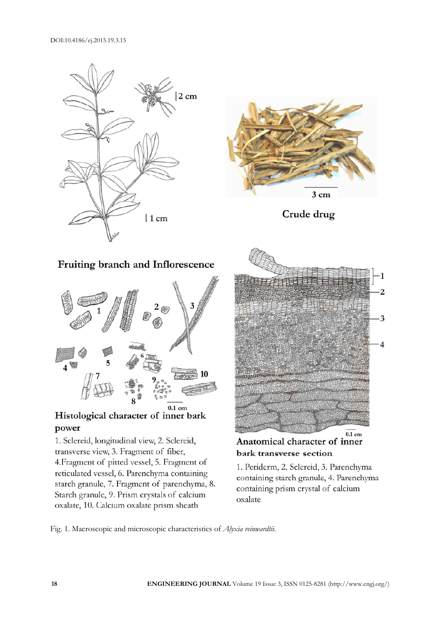



Crude drug

## Fruiting branch and Inflorescence



### Histological character of inner bark power

1. Sclereid, longitudinal view, 2. Sclereid, transverse view, 3. Fragment of fiber, 4. Fragment of pitted vessel, 5. Fragment of reticulated vessel, 6. Parenchyma containing starch granule, 7. Fragment of parenchyma, 8. Starch granule, 9. Prism crystals of calcium oxalate, 10. Calcium oxalate prism sheath



Anatomical character of inner bark transverse section

1. Periderm, 2. Sclereid, 3. Parenchyma containing starch granule, 4. Parenchyma containing prism crystal of calcium oxalate

Fig. 1. Macroscopic and microscopic characteristics of *Alyxia reinwardtii*.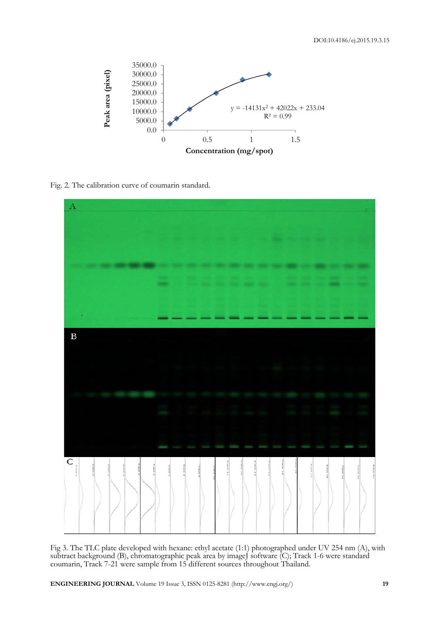

Fig. 2. The calibration curve of coumarin standard.



Fig 3. The TLC plate developed with hexane: ethyl acetate (1:1) photographed under UV 254 nm (A), with subtract background (B), chromatographic peak area by imageJ software (C); Track 1-6 were standard coumarin, Track 7-21 were sample from 15 different sources throughout Thailand.